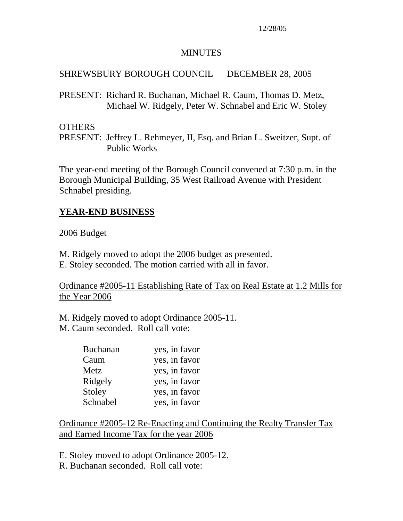#### MINUTES

## SHREWSBURY BOROUGH COUNCIL DECEMBER 28, 2005

PRESENT: Richard R. Buchanan, Michael R. Caum, Thomas D. Metz, Michael W. Ridgely, Peter W. Schnabel and Eric W. Stoley

### **OTHERS**

PRESENT: Jeffrey L. Rehmeyer, II, Esq. and Brian L. Sweitzer, Supt. of Public Works

The year-end meeting of the Borough Council convened at 7:30 p.m. in the Borough Municipal Building, 35 West Railroad Avenue with President Schnabel presiding.

## **YEAR-END BUSINESS**

### 2006 Budget

M. Ridgely moved to adopt the 2006 budget as presented.

E. Stoley seconded. The motion carried with all in favor.

Ordinance #2005-11 Establishing Rate of Tax on Real Estate at 1.2 Mills for the Year 2006

M. Ridgely moved to adopt Ordinance 2005-11.

M. Caum seconded. Roll call vote:

| <b>Buchanan</b> | yes, in favor |
|-----------------|---------------|
| Caum            | yes, in favor |
| Metz            | yes, in favor |
| Ridgely         | yes, in favor |
| Stoley          | yes, in favor |
| Schnabel        | yes, in favor |

Ordinance #2005-12 Re-Enacting and Continuing the Realty Transfer Tax and Earned Income Tax for the year 2006

E. Stoley moved to adopt Ordinance 2005-12.

R. Buchanan seconded. Roll call vote: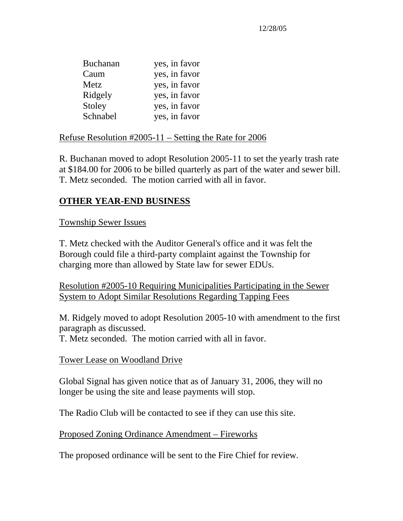| yes, in favor |
|---------------|
| yes, in favor |
| yes, in favor |
| yes, in favor |
| yes, in favor |
| yes, in favor |
|               |

#### Refuse Resolution #2005-11 – Setting the Rate for 2006

R. Buchanan moved to adopt Resolution 2005-11 to set the yearly trash rate at \$184.00 for 2006 to be billed quarterly as part of the water and sewer bill. T. Metz seconded. The motion carried with all in favor.

## **OTHER YEAR-END BUSINESS**

#### Township Sewer Issues

T. Metz checked with the Auditor General's office and it was felt the Borough could file a third-party complaint against the Township for charging more than allowed by State law for sewer EDUs.

Resolution #2005-10 Requiring Municipalities Participating in the Sewer System to Adopt Similar Resolutions Regarding Tapping Fees

M. Ridgely moved to adopt Resolution 2005-10 with amendment to the first paragraph as discussed.

T. Metz seconded. The motion carried with all in favor.

#### Tower Lease on Woodland Drive

Global Signal has given notice that as of January 31, 2006, they will no longer be using the site and lease payments will stop.

The Radio Club will be contacted to see if they can use this site.

Proposed Zoning Ordinance Amendment – Fireworks

The proposed ordinance will be sent to the Fire Chief for review.